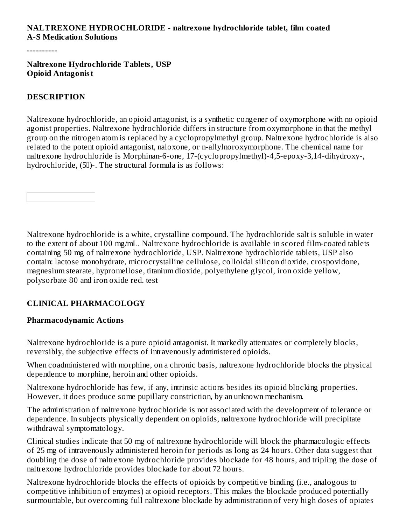### **NALTREXONE HYDROCHLORIDE - naltrexone hydrochloride tablet, film coated A-S Medication Solutions**

----------

#### **Naltrexone Hydrochloride Tablets, USP Opioid Antagonist**

#### **DESCRIPTION**

Naltrexone hydrochloride, an opioid antagonist, is a synthetic congener of oxymorphone with no opioid agonist properties. Naltrexone hydrochloride differs in structure from oxymorphone in that the methyl group on the nitrogen atom is replaced by a cyclopropylmethyl group. Naltrexone hydrochloride is also related to the potent opioid antagonist, naloxone, or n-allylnoroxymorphone. The chemical name for naltrexone hydrochloride is Morphinan-6-one, 17-(cyclopropylmethyl)-4,5-epoxy-3,14-dihydroxy-, hydrochloride, (50)-. The structural formula is as follows:

Naltrexone hydrochloride is a white, crystalline compound. The hydrochloride salt is soluble in water to the extent of about 100 mg/mL. Naltrexone hydrochloride is available in scored film-coated tablets containing 50 mg of naltrexone hydrochloride, USP. Naltrexone hydrochloride tablets, USP also contain: lactose monohydrate, microcrystalline cellulose, colloidal silicon dioxide, crospovidone, magnesium stearate, hypromellose, titanium dioxide, polyethylene glycol, iron oxide yellow, polysorbate 80 and iron oxide red. test

### **CLINICAL PHARMACOLOGY**

#### **Pharmacodynamic Actions**

Naltrexone hydrochloride is a pure opioid antagonist. It markedly attenuates or completely blocks, reversibly, the subjective effects of intravenously administered opioids.

When coadministered with morphine, on a chronic basis, naltrexone hydrochloride blocks the physical dependence to morphine, heroin and other opioids.

Naltrexone hydrochloride has few, if any, intrinsic actions besides its opioid blocking properties. However, it does produce some pupillary constriction, by an unknown mechanism.

The administration of naltrexone hydrochloride is not associated with the development of tolerance or dependence. In subjects physically dependent on opioids, naltrexone hydrochloride will precipitate withdrawal symptomatology.

Clinical studies indicate that 50 mg of naltrexone hydrochloride will block the pharmacologic effects of 25 mg of intravenously administered heroin for periods as long as 24 hours. Other data suggest that doubling the dose of naltrexone hydrochloride provides blockade for 48 hours, and tripling the dose of naltrexone hydrochloride provides blockade for about 72 hours.

Naltrexone hydrochloride blocks the effects of opioids by competitive binding (i.e., analogous to competitive inhibition of enzymes) at opioid receptors. This makes the blockade produced potentially surmountable, but overcoming full naltrexone blockade by administration of very high doses of opiates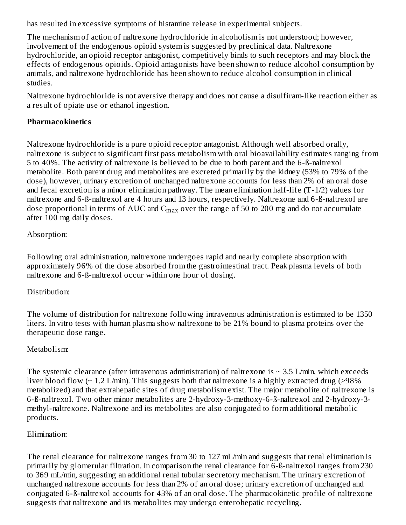has resulted in excessive symptoms of histamine release in experimental subjects.

The mechanism of action of naltrexone hydrochloride in alcoholism is not understood; however, involvement of the endogenous opioid system is suggested by preclinical data. Naltrexone hydrochloride, an opioid receptor antagonist, competitively binds to such receptors and may block the effects of endogenous opioids. Opioid antagonists have been shown to reduce alcohol consumption by animals, and naltrexone hydrochloride has been shown to reduce alcohol consumption in clinical studies.

Naltrexone hydrochloride is not aversive therapy and does not cause a disulfiram-like reaction either as a result of opiate use or ethanol ingestion.

### **Pharmacokinetics**

Naltrexone hydrochloride is a pure opioid receptor antagonist. Although well absorbed orally, naltrexone is subject to significant first pass metabolism with oral bioavailability estimates ranging from 5 to 40%. The activity of naltrexone is believed to be due to both parent and the 6-ß-naltrexol metabolite. Both parent drug and metabolites are excreted primarily by the kidney (53% to 79% of the dose), however, urinary excretion of unchanged naltrexone accounts for less than 2% of an oral dose and fecal excretion is a minor elimination pathway. The mean elimination half-life (T-1/2) values for naltrexone and 6-ß-naltrexol are 4 hours and 13 hours, respectively. Naltrexone and 6-ß-naltrexol are dose proportional in terms of AUC and  $\rm{C_{max}}$  over the range of 50 to 200 mg and do not accumulate after 100 mg daily doses.

### Absorption:

Following oral administration, naltrexone undergoes rapid and nearly complete absorption with approximately 96% of the dose absorbed from the gastrointestinal tract. Peak plasma levels of both naltrexone and 6-ß-naltrexol occur within one hour of dosing.

### Distribution:

The volume of distribution for naltrexone following intravenous administration is estimated to be 1350 liters. In vitro tests with human plasma show naltrexone to be 21% bound to plasma proteins over the therapeutic dose range.

### Metabolism:

The systemic clearance (after intravenous administration) of naltrexone is  $\sim 3.5$  L/min, which exceeds liver blood flow ( $\sim 1.2$  L/min). This suggests both that naltrexone is a highly extracted drug ( $>98\%$ ) metabolized) and that extrahepatic sites of drug metabolism exist. The major metabolite of naltrexone is 6-ß-naltrexol. Two other minor metabolites are 2-hydroxy-3-methoxy-6-ß-naltrexol and 2-hydroxy-3 methyl-naltrexone. Naltrexone and its metabolites are also conjugated to form additional metabolic products.

### Elimination:

The renal clearance for naltrexone ranges from 30 to 127 mL/min and suggests that renal elimination is primarily by glomerular filtration. In comparison the renal clearance for 6-ß-naltrexol ranges from 230 to 369 mL/min, suggesting an additional renal tubular secretory mechanism. The urinary excretion of unchanged naltrexone accounts for less than 2% of an oral dose; urinary excretion of unchanged and conjugated 6-ß-naltrexol accounts for 43% of an oral dose. The pharmacokinetic profile of naltrexone suggests that naltrexone and its metabolites may undergo enterohepatic recycling.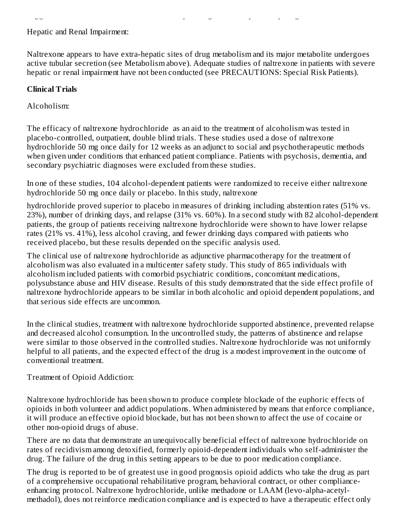### Hepatic and Renal Impairment:

Naltrexone appears to have extra-hepatic sites of drug metabolism and its major metabolite undergoes active tubular secretion (see Metabolism above). Adequate studies of naltrexone in patients with severe hepatic or renal impairment have not been conducted (see PRECAUTIONS: Special Risk Patients).

suggests that naltrexone and its metabolites may undergo enterohepatic recycling.

### **Clinical Trials**

Alcoholism:

The efficacy of naltrexone hydrochloride as an aid to the treatment of alcoholism was tested in placebo-controlled, outpatient, double blind trials. These studies used a dose of naltrexone hydrochloride 50 mg once daily for 12 weeks as an adjunct to social and psychotherapeutic methods when given under conditions that enhanced patient compliance. Patients with psychosis, dementia, and secondary psychiatric diagnoses were excluded from these studies.

In one of these studies, 104 alcohol-dependent patients were randomized to receive either naltrexone hydrochloride 50 mg once daily or placebo. In this study, naltrexone

hydrochloride proved superior to placebo in measures of drinking including abstention rates (51% vs. 23%), number of drinking days, and relapse (31% vs. 60%). In a second study with 82 alcohol-dependent patients, the group of patients receiving naltrexone hydrochloride were shown to have lower relapse rates (21% vs. 41%), less alcohol craving, and fewer drinking days compared with patients who received placebo, but these results depended on the specific analysis used.

The clinical use of naltrexone hydrochloride as adjunctive pharmacotherapy for the treatment of alcoholism was also evaluated in a multicenter safety study. This study of 865 individuals with alcoholism included patients with comorbid psychiatric conditions, concomitant medications, polysubstance abuse and HIV disease. Results of this study demonstrated that the side effect profile of naltrexone hydrochloride appears to be similar in both alcoholic and opioid dependent populations, and that serious side effects are uncommon.

In the clinical studies, treatment with naltrexone hydrochloride supported abstinence, prevented relapse and decreased alcohol consumption. In the uncontrolled study, the patterns of abstinence and relapse were similar to those observed in the controlled studies. Naltrexone hydrochloride was not uniformly helpful to all patients, and the expected effect of the drug is a modest improvement in the outcome of conventional treatment.

Treatment of Opioid Addiction:

Naltrexone hydrochloride has been shown to produce complete blockade of the euphoric effects of opioids in both volunteer and addict populations. When administered by means that enforce compliance, it will produce an effective opioid blockade, but has not been shown to affect the use of cocaine or other non-opioid drugs of abuse.

There are no data that demonstrate an unequivocally beneficial effect of naltrexone hydrochloride on rates of recidivism among detoxified, formerly opioid-dependent individuals who self-administer the drug. The failure of the drug in this setting appears to be due to poor medication compliance.

The drug is reported to be of greatest use in good prognosis opioid addicts who take the drug as part of a comprehensive occupational rehabilitative program, behavioral contract, or other complianceenhancing protocol. Naltrexone hydrochloride, unlike methadone or LAAM (levo-alpha-acetylmethadol), does not reinforce medication compliance and is expected to have a therapeutic effect only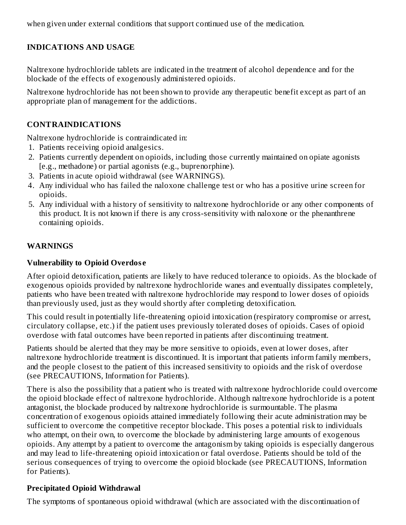when given under external conditions that support continued use of the medication.

### **INDICATIONS AND USAGE**

Naltrexone hydrochloride tablets are indicated in the treatment of alcohol dependence and for the blockade of the effects of exogenously administered opioids.

Naltrexone hydrochloride has not been shown to provide any therapeutic benefit except as part of an appropriate plan of management for the addictions.

### **CONTRAINDICATIONS**

Naltrexone hydrochloride is contraindicated in:

- 1. Patients receiving opioid analgesics.
- 2. Patients currently dependent on opioids, including those currently maintained on opiate agonists [e.g., methadone) or partial agonists (e.g., buprenorphine).
- 3. Patients in acute opioid withdrawal (see WARNINGS).
- 4. Any individual who has failed the naloxone challenge test or who has a positive urine screen for opioids.
- 5. Any individual with a history of sensitivity to naltrexone hydrochloride or any other components of this product. It is not known if there is any cross-sensitivity with naloxone or the phenanthrene containing opioids.

### **WARNINGS**

### **Vulnerability to Opioid Overdos e**

After opioid detoxification, patients are likely to have reduced tolerance to opioids. As the blockade of exogenous opioids provided by naltrexone hydrochloride wanes and eventually dissipates completely, patients who have been treated with naltrexone hydrochloride may respond to lower doses of opioids than previously used, just as they would shortly after completing detoxification.

This could result in potentially life-threatening opioid intoxication (respiratory compromise or arrest, circulatory collapse, etc.) if the patient uses previously tolerated doses of opioids. Cases of opioid overdose with fatal outcomes have been reported in patients after discontinuing treatment.

Patients should be alerted that they may be more sensitive to opioids, even at lower doses, after naltrexone hydrochloride treatment is discontinued. It is important that patients inform family members, and the people closest to the patient of this increased sensitivity to opioids and the risk of overdose (see PRECAUTIONS, Information for Patients).

There is also the possibility that a patient who is treated with naltrexone hydrochloride could overcome the opioid blockade effect of naltrexone hydrochloride. Although naltrexone hydrochloride is a potent antagonist, the blockade produced by naltrexone hydrochloride is surmountable. The plasma concentration of exogenous opioids attained immediately following their acute administration may be sufficient to overcome the competitive receptor blockade. This poses a potential risk to individuals who attempt, on their own, to overcome the blockade by administering large amounts of exogenous opioids. Any attempt by a patient to overcome the antagonism by taking opioids is especially dangerous and may lead to life-threatening opioid intoxication or fatal overdose. Patients should be told of the serious consequences of trying to overcome the opioid blockade (see PRECAUTIONS, Information for Patients).

### **Precipitated Opioid Withdrawal**

The symptoms of spontaneous opioid withdrawal (which are associated with the discontinuation of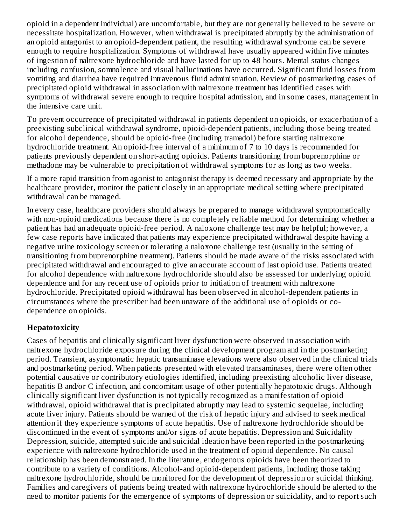opioid in a dependent individual) are uncomfortable, but they are not generally believed to be severe or necessitate hospitalization. However, when withdrawal is precipitated abruptly by the administration of an opioid antagonist to an opioid-dependent patient, the resulting withdrawal syndrome can be severe enough to require hospitalization. Symptoms of withdrawal have usually appeared within five minutes of ingestion of naltrexone hydrochloride and have lasted for up to 48 hours. Mental status changes including confusion, somnolence and visual hallucinations have occurred. Significant fluid losses from vomiting and diarrhea have required intravenous fluid administration. Review of postmarketing cases of precipitated opioid withdrawal in association with naltrexone treatment has identified cases with symptoms of withdrawal severe enough to require hospital admission, and in some cases, management in the intensive care unit.

To prevent occurrence of precipitated withdrawal in patients dependent on opioids, or exacerbation of a preexisting subclinical withdrawal syndrome, opioid-dependent patients, including those being treated for alcohol dependence, should be opioid-free (including tramadol) before starting naltrexone hydrochloride treatment. An opioid-free interval of a minimum of 7 to 10 days is recommended for patients previously dependent on short-acting opioids. Patients transitioning from buprenorphine or methadone may be vulnerable to precipitation of withdrawal symptoms for as long as two weeks.

If a more rapid transition from agonist to antagonist therapy is deemed necessary and appropriate by the healthcare provider, monitor the patient closely in an appropriate medical setting where precipitated withdrawal can be managed.

In every case, healthcare providers should always be prepared to manage withdrawal symptomatically with non-opioid medications because there is no completely reliable method for determining whether a patient has had an adequate opioid-free period. A naloxone challenge test may be helpful; however, a few case reports have indicated that patients may experience precipitated withdrawal despite having a negative urine toxicology screen or tolerating a naloxone challenge test (usually in the setting of transitioning from buprenorphine treatment). Patients should be made aware of the risks associated with precipitated withdrawal and encouraged to give an accurate account of last opioid use. Patients treated for alcohol dependence with naltrexone hydrochloride should also be assessed for underlying opioid dependence and for any recent use of opioids prior to initiation of treatment with naltrexone hydrochloride. Precipitated opioid withdrawal has been observed in alcohol-dependent patients in circumstances where the prescriber had been unaware of the additional use of opioids or codependence on opioids.

### **Hepatotoxicity**

Cases of hepatitis and clinically significant liver dysfunction were observed in association with naltrexone hydrochloride exposure during the clinical development program and in the postmarketing period. Transient, asymptomatic hepatic transaminase elevations were also observed in the clinical trials and postmarketing period. When patients presented with elevated transaminases, there were often other potential causative or contributory etiologies identified, including preexisting alcoholic liver disease, hepatitis B and/or C infection, and concomitant usage of other potentially hepatotoxic drugs. Although clinically significant liver dysfunction is not typically recognized as a manifestation of opioid withdrawal, opioid withdrawal that is precipitated abruptly may lead to systemic sequelae, including acute liver injury. Patients should be warned of the risk of hepatic injury and advised to seek medical attention if they experience symptoms of acute hepatitis. Use of naltrexone hydrochloride should be discontinued in the event of symptoms and/or signs of acute hepatitis. Depression and Suicidality Depression, suicide, attempted suicide and suicidal ideation have been reported in the postmarketing experience with naltrexone hydrochloride used in the treatment of opioid dependence. No causal relationship has been demonstrated. In the literature, endogenous opioids have been theorized to contribute to a variety of conditions. Alcohol-and opioid-dependent patients, including those taking naltrexone hydrochloride, should be monitored for the development of depression or suicidal thinking. Families and caregivers of patients being treated with naltrexone hydrochloride should be alerted to the need to monitor patients for the emergence of symptoms of depression or suicidality, and to report such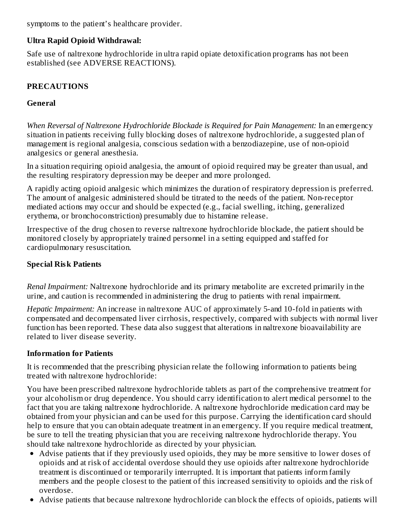symptoms to the patient's healthcare provider.

### **Ultra Rapid Opioid Withdrawal:**

Safe use of naltrexone hydrochloride in ultra rapid opiate detoxification programs has not been established (see ADVERSE REACTIONS).

## **PRECAUTIONS**

### **General**

*When Reversal of Naltrexone Hydrochloride Blockade is Required for Pain Management:* In an emergency situation in patients receiving fully blocking doses of naltrexone hydrochloride, a suggested plan of management is regional analgesia, conscious sedation with a benzodiazepine, use of non-opioid analgesics or general anesthesia.

In a situation requiring opioid analgesia, the amount of opioid required may be greater than usual, and the resulting respiratory depression may be deeper and more prolonged.

A rapidly acting opioid analgesic which minimizes the duration of respiratory depression is preferred. The amount of analgesic administered should be titrated to the needs of the patient. Non-receptor mediated actions may occur and should be expected (e.g., facial swelling, itching, generalized erythema, or bronchoconstriction) presumably due to histamine release.

Irrespective of the drug chosen to reverse naltrexone hydrochloride blockade, the patient should be monitored closely by appropriately trained personnel in a setting equipped and staffed for cardiopulmonary resuscitation.

### **Special Risk Patients**

*Renal Impairment:* Naltrexone hydrochloride and its primary metabolite are excreted primarily in the urine, and caution is recommended in administering the drug to patients with renal impairment.

*Hepatic Impairment:* An increase in naltrexone AUC of approximately 5-and 10-fold in patients with compensated and decompensated liver cirrhosis, respectively, compared with subjects with normal liver function has been reported. These data also suggest that alterations in naltrexone bioavailability are related to liver disease severity.

### **Information for Patients**

It is recommended that the prescribing physician relate the following information to patients being treated with naltrexone hydrochloride:

You have been prescribed naltrexone hydrochloride tablets as part of the comprehensive treatment for your alcoholism or drug dependence. You should carry identification to alert medical personnel to the fact that you are taking naltrexone hydrochloride. A naltrexone hydrochloride medication card may be obtained from your physician and can be used for this purpose. Carrying the identification card should help to ensure that you can obtain adequate treatment in an emergency. If you require medical treatment, be sure to tell the treating physician that you are receiving naltrexone hydrochloride therapy. You should take naltrexone hydrochloride as directed by your physician.

- Advise patients that if they previously used opioids, they may be more sensitive to lower doses of opioids and at risk of accidental overdose should they use opioids after naltrexone hydrochloride treatment is discontinued or temporarily interrupted. It is important that patients inform family members and the people closest to the patient of this increased sensitivity to opioids and the risk of overdose.
- Advise patients that because naltrexone hydrochloride can block the effects of opioids, patients will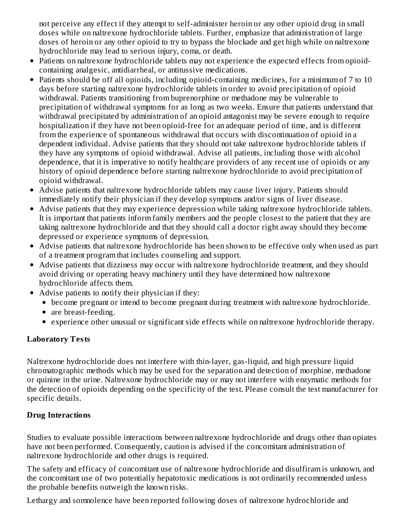not perceive any effect if they attempt to self-administer heroin or any other opioid drug in small doses while on naltrexone hydrochloride tablets. Further, emphasize that administration of large doses of heroin or any other opioid to try to bypass the blockade and get high while on naltrexone hydrochloride may lead to serious injury, coma, or death.

- Patients on naltrexone hydrochloride tablets may not experience the expected effects from opioidcontaining analgesic, antidiarrheal, or antitussive medications.
- Patients should be off all opioids, including opioid-containing medicines, for a minimum of 7 to 10 days before starting naltrexone hydrochloride tablets in order to avoid precipitation of opioid withdrawal. Patients transitioning from buprenorphine or methadone may be vulnerable to precipitation of withdrawal symptoms for as long as two weeks. Ensure that patients understand that withdrawal precipitated by administration of an opioid antagonist may be severe enough to require hospitalization if they have not been opioid-free for an adequate period of time, and is different from the experience of spontaneous withdrawal that occurs with discontinuation of opioid in a dependent individual. Advise patients that they should not take naltrexone hydrochloride tablets if they have any symptoms of opioid withdrawal. Advise all patients, including those with alcohol dependence, that it is imperative to notify healthcare providers of any recent use of opioids or any history of opioid dependence before starting naltrexone hydrochloride to avoid precipitation of opioid withdrawal.
- Advise patients that naltrexone hydrochloride tablets may cause liver injury. Patients should immediately notify their physician if they develop symptoms and/or signs of liver disease.
- Advise patients that they may experience depression while taking naltrexone hydrochloride tablets. It is important that patients inform family members and the people closest to the patient that they are taking naltrexone hydrochloride and that they should call a doctor right away should they become depressed or experience symptoms of depression.
- Advise patients that naltrexone hydrochloride has been shown to be effective only when used as part of a treatment program that includes counseling and support.
- Advise patients that dizziness may occur with naltrexone hydrochloride treatment, and they should avoid driving or operating heavy machinery until they have determined how naltrexone hydrochloride affects them.
- Advise patients to notify their physician if they:
	- become pregnant or intend to become pregnant during treatment with naltrexone hydrochloride.
	- are breast-feeding.
	- experience other unusual or significant side effects while on naltrexone hydrochloride therapy.

## **Laboratory Tests**

Naltrexone hydrochloride does not interfere with thin-layer, gas-liquid, and high pressure liquid chromatographic methods which may be used for the separation and detection of morphine, methadone or quinine in the urine. Naltrexone hydrochloride may or may not interfere with enzymatic methods for the detection of opioids depending on the specificity of the test. Please consult the test manufacturer for specific details.

## **Drug Interactions**

Studies to evaluate possible interactions between naltrexone hydrochloride and drugs other than opiates have not been performed. Consequently, caution is advised if the concomitant administration of naltrexone hydrochloride and other drugs is required.

The safety and efficacy of concomitant use of naltrexone hydrochloride and disulfiram is unknown, and the concomitant use of two potentially hepatotoxic medications is not ordinarily recommended unless the probable benefits outweigh the known risks.

Lethargy and somnolence have been reported following doses of naltrexone hydrochloride and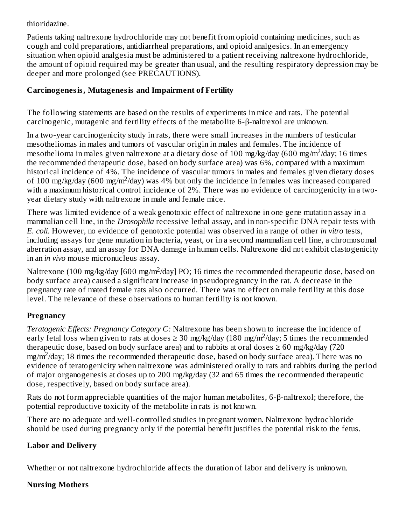### thioridazine.

Patients taking naltrexone hydrochloride may not benefit from opioid containing medicines, such as cough and cold preparations, antidiarrheal preparations, and opioid analgesics. In an emergency situation when opioid analgesia must be administered to a patient receiving naltrexone hydrochloride, the amount of opioid required may be greater than usual, and the resulting respiratory depression may be deeper and more prolonged (see PRECAUTIONS).

### **Carcinogenesis, Mutagenesis and Impairment of Fertility**

The following statements are based on the results of experiments in mice and rats. The potential carcinogenic, mutagenic and fertility effects of the metabolite 6-β-naltrexol are unknown.

In a two-year carcinogenicity study in rats, there were small increases in the numbers of testicular mesotheliomas in males and tumors of vascular origin in males and females. The incidence of mesothelioma in males given naltrexone at a dietary dose of 100 mg/kg/day (600 mg/m<sup>2</sup>/day; 16 times the recommended therapeutic dose, based on body surface area) was 6%, compared with a maximum historical incidence of 4%. The incidence of vascular tumors in males and females given dietary doses of 100 mg/kg/day (600 mg/m<sup>2</sup>/day) was 4% but only the incidence in females was increased compared with a maximum historical control incidence of 2%. There was no evidence of carcinogenicity in a twoyear dietary study with naltrexone in male and female mice.

There was limited evidence of a weak genotoxic effect of naltrexone in one gene mutation assay in a mammalian cell line, in the *Drosophila* recessive lethal assay, and in non-specific DNA repair tests with *E. coli*. However, no evidence of genotoxic potential was observed in a range of other *in vitro* tests, including assays for gene mutation in bacteria, yeast, or in a second mammalian cell line, a chromosomal aberration assay, and an assay for DNA damage in human cells. Naltrexone did not exhibit clastogenicity in an *in vivo* mouse micronucleus assay.

Naltrexone (100 mg/kg/day [600 mg/m<sup>2</sup>/day] PO; 16 times the recommended therapeutic dose, based on body surface area) caused a significant increase in pseudopregnancy in the rat. A decrease in the pregnancy rate of mated female rats also occurred. There was no effect on male fertility at this dose level. The relevance of these observations to human fertility is not known.

## **Pregnancy**

*Teratogenic Effects: Pregnancy Category C:* Naltrexone has been shown to increase the incidence of early fetal loss when given to rats at doses  $\geq 30$  mg/kg/day (180 mg/m<sup>2</sup>/day; 5 times the recommended therapeutic dose, based on body surface area) and to rabbits at oral doses  $\geq 60$  mg/kg/day (720  $mg/m<sup>2</sup>/day$ ; 18 times the recommended therapeutic dose, based on body surface area). There was no evidence of teratogenicity when naltrexone was administered orally to rats and rabbits during the period of major organogenesis at doses up to 200 mg/kg/day (32 and 65 times the recommended therapeutic dose, respectively, based on body surface area).

Rats do not form appreciable quantities of the major human metabolites, 6-β-naltrexol; therefore, the potential reproductive toxicity of the metabolite in rats is not known.

There are no adequate and well-controlled studies in pregnant women. Naltrexone hydrochloride should be used during pregnancy only if the potential benefit justifies the potential risk to the fetus.

## **Labor and Delivery**

Whether or not naltrexone hydrochloride affects the duration of labor and delivery is unknown.

## **Nursing Mothers**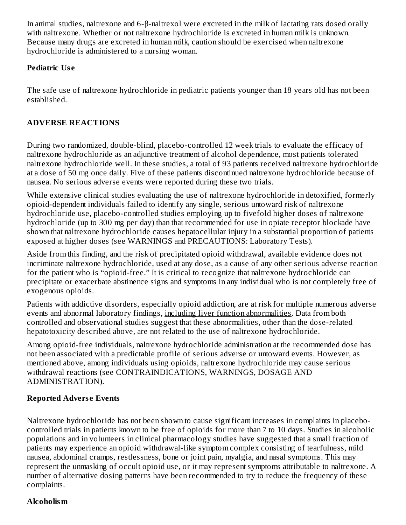In animal studies, naltrexone and 6-β-naltrexol were excreted in the milk of lactating rats dosed orally with naltrexone. Whether or not naltrexone hydrochloride is excreted in human milk is unknown. Because many drugs are excreted in human milk, caution should be exercised when naltrexone hydrochloride is administered to a nursing woman.

### **Pediatric Us e**

The safe use of naltrexone hydrochloride in pediatric patients younger than 18 years old has not been established.

## **ADVERSE REACTIONS**

During two randomized, double-blind, placebo-controlled 12 week trials to evaluate the efficacy of naltrexone hydrochloride as an adjunctive treatment of alcohol dependence, most patients tolerated naltrexone hydrochloride well. In these studies, a total of 93 patients received naltrexone hydrochloride at a dose of 50 mg once daily. Five of these patients discontinued naltrexone hydrochloride because of nausea. No serious adverse events were reported during these two trials.

While extensive clinical studies evaluating the use of naltrexone hydrochloride in detoxified, formerly opioid-dependent individuals failed to identify any single, serious untoward risk of naltrexone hydrochloride use, placebo-controlled studies employing up to fivefold higher doses of naltrexone hydrochloride (up to 300 mg per day) than that recommended for use in opiate receptor blockade have shown that naltrexone hydrochloride causes hepatocellular injury in a substantial proportion of patients exposed at higher doses (see WARNINGS and PRECAUTIONS: Laboratory Tests).

Aside from this finding, and the risk of precipitated opioid withdrawal, available evidence does not incriminate naltrexone hydrochloride, used at any dose, as a cause of any other serious adverse reaction for the patient who is "opioid-free." It is critical to recognize that naltrexone hydrochloride can precipitate or exacerbate abstinence signs and symptoms in any individual who is not completely free of exogenous opioids.

Patients with addictive disorders, especially opioid addiction, are at risk for multiple numerous adverse events and abnormal laboratory findings, including liver function abnormalities. Data from both controlled and observational studies suggest that these abnormalities, other than the dose-related hepatotoxicity described above, are not related to the use of naltrexone hydrochloride.

Among opioid-free individuals, naltrexone hydrochloride administration at the recommended dose has not been associated with a predictable profile of serious adverse or untoward events. However, as mentioned above, among individuals using opioids, naltrexone hydrochloride may cause serious withdrawal reactions (see CONTRAINDICATIONS, WARNINGS, DOSAGE AND ADMINISTRATION).

## **Reported Advers e Events**

Naltrexone hydrochloride has not been shown to cause significant increases in complaints in placebocontrolled trials in patients known to be free of opioids for more than 7 to 10 days. Studies in alcoholic populations and in volunteers in clinical pharmacology studies have suggested that a small fraction of patients may experience an opioid withdrawal-like symptom complex consisting of tearfulness, mild nausea, abdominal cramps, restlessness, bone or joint pain, myalgia, and nasal symptoms. This may represent the unmasking of occult opioid use, or it may represent symptoms attributable to naltrexone. A number of alternative dosing patterns have been recommended to try to reduce the frequency of these complaints.

# **Alcoholism**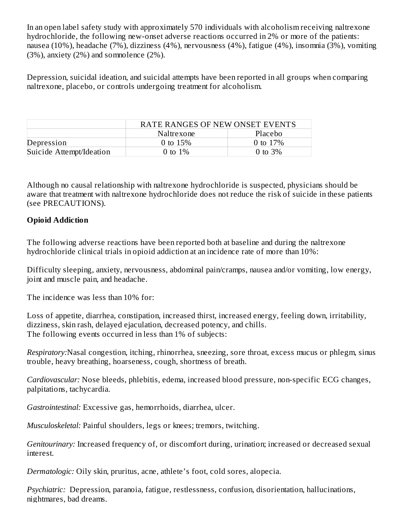In an open label safety study with approximately 570 individuals with alcoholism receiving naltrexone hydrochloride, the following new-onset adverse reactions occurred in 2% or more of the patients: nausea (10%), headache (7%), dizziness (4%), nervousness (4%), fatigue (4%), insomnia (3%), vomiting (3%), anxiety (2%) and somnolence (2%).

Depression, suicidal ideation, and suicidal attempts have been reported in all groups when comparing naltrexone, placebo, or controls undergoing treatment for alcoholism.

|                          | <b>RATE RANGES OF NEW ONSET EVENTS</b> |            |  |
|--------------------------|----------------------------------------|------------|--|
|                          | Naltrexone                             | Placebo    |  |
| Depression               | 0 to $15%$                             | 0 to 17%   |  |
| Suicide Attempt/Ideation | 0 to $1\%$                             | 0 to $3\%$ |  |

Although no causal relationship with naltrexone hydrochloride is suspected, physicians should be aware that treatment with naltrexone hydrochloride does not reduce the risk of suicide in these patients (see PRECAUTIONS).

### **Opioid Addiction**

The following adverse reactions have been reported both at baseline and during the naltrexone hydrochloride clinical trials in opioid addiction at an incidence rate of more than 10%:

Difficulty sleeping, anxiety, nervousness, abdominal pain/cramps, nausea and/or vomiting, low energy, joint and muscle pain, and headache.

The incidence was less than 10% for:

Loss of appetite, diarrhea, constipation, increased thirst, increased energy, feeling down, irritability, dizziness, skin rash, delayed ejaculation, decreased potency, and chills. The following events occurred in less than 1% of subjects:

*Respiratory:*Nasal congestion, itching, rhinorrhea, sneezing, sore throat, excess mucus or phlegm, sinus trouble, heavy breathing, hoarseness, cough, shortness of breath.

*Cardiovascular:* Nose bleeds, phlebitis, edema, increased blood pressure, non-specific ECG changes, palpitations, tachycardia.

*Gastrointestinal:* Excessive gas, hemorrhoids, diarrhea, ulcer.

*Musculoskeletal:* Painful shoulders, legs or knees; tremors, twitching.

*Genitourinary:* Increased frequency of, or discomfort during, urination; increased or decreased sexual interest.

*Dermatologic:* Oily skin, pruritus, acne, athlete's foot, cold sores, alopecia.

*Psychiatric:* Depression, paranoia, fatigue, restlessness, confusion, disorientation, hallucinations, nightmares, bad dreams.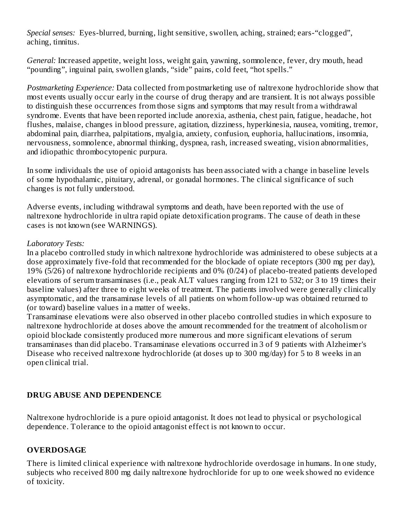*Special senses:* Eyes-blurred, burning, light sensitive, swollen, aching, strained; ears-"clogged", aching, tinnitus.

*General:* Increased appetite, weight loss, weight gain, yawning, somnolence, fever, dry mouth, head "pounding", inguinal pain, swollen glands, "side" pains, cold feet, "hot spells."

*Postmarketing Experience:* Data collected from postmarketing use of naltrexone hydrochloride show that most events usually occur early in the course of drug therapy and are transient. It is not always possible to distinguish these occurrences from those signs and symptoms that may result from a withdrawal syndrome. Events that have been reported include anorexia, asthenia, chest pain, fatigue, headache, hot flushes, malaise, changes in blood pressure, agitation, dizziness, hyperkinesia, nausea, vomiting, tremor, abdominal pain, diarrhea, palpitations, myalgia, anxiety, confusion, euphoria, hallucinations, insomnia, nervousness, somnolence, abnormal thinking, dyspnea, rash, increased sweating, vision abnormalities, and idiopathic thrombocytopenic purpura.

In some individuals the use of opioid antagonists has been associated with a change in baseline levels of some hypothalamic, pituitary, adrenal, or gonadal hormones. The clinical significance of such changes is not fully understood.

Adverse events, including withdrawal symptoms and death, have been reported with the use of naltrexone hydrochloride in ultra rapid opiate detoxification programs. The cause of death in these cases is not known (see WARNINGS).

#### *Laboratory Tests:*

In a placebo controlled study in which naltrexone hydrochloride was administered to obese subjects at a dose approximately five-fold that recommended for the blockade of opiate receptors (300 mg per day), 19% (5/26) of naltrexone hydrochloride recipients and 0% (0/24) of placebo-treated patients developed elevations of serum transaminases (i.e., peak ALT values ranging from 121 to 532; or 3 to 19 times their baseline values) after three to eight weeks of treatment. The patients involved were generally clinically asymptomatic, and the transaminase levels of all patients on whom follow-up was obtained returned to (or toward) baseline values in a matter of weeks.

Transaminase elevations were also observed in other placebo controlled studies in which exposure to naltrexone hydrochloride at doses above the amount recommended for the treatment of alcoholism or opioid blockade consistently produced more numerous and more significant elevations of serum transaminases than did placebo. Transaminase elevations occurred in 3 of 9 patients with Alzheimer's Disease who received naltrexone hydrochloride (at doses up to 300 mg/day) for 5 to 8 weeks in an open clinical trial.

### **DRUG ABUSE AND DEPENDENCE**

Naltrexone hydrochloride is a pure opioid antagonist. It does not lead to physical or psychological dependence. Tolerance to the opioid antagonist effect is not known to occur.

## **OVERDOSAGE**

There is limited clinical experience with naltrexone hydrochloride overdosage in humans. In one study, subjects who received 800 mg daily naltrexone hydrochloride for up to one week showed no evidence of toxicity.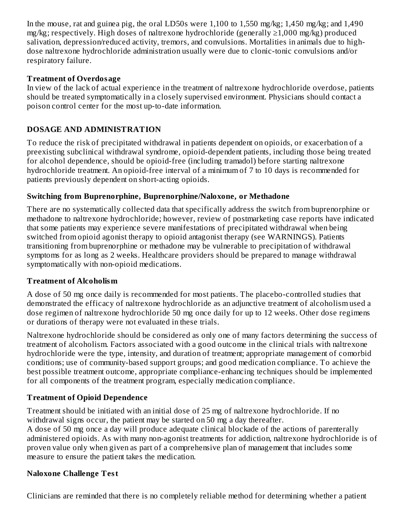In the mouse, rat and guinea pig, the oral LD50s were 1,100 to 1,550 mg/kg; 1,450 mg/kg; and 1,490 mg/kg; respectively. High doses of naltrexone hydrochloride (generally ≥1,000 mg/kg) produced salivation, depression/reduced activity, tremors, and convulsions. Mortalities in animals due to highdose naltrexone hydrochloride administration usually were due to clonic-tonic convulsions and/or respiratory failure.

### **Treatment of Overdosage**

In view of the lack of actual experience in the treatment of naltrexone hydrochloride overdose, patients should be treated symptomatically in a closely supervised environment. Physicians should contact a poison control center for the most up-to-date information.

## **DOSAGE AND ADMINISTRATION**

To reduce the risk of precipitated withdrawal in patients dependent on opioids, or exacerbation of a preexisting subclinical withdrawal syndrome, opioid-dependent patients, including those being treated for alcohol dependence, should be opioid-free (including tramadol) before starting naltrexone hydrochloride treatment. An opioid-free interval of a minimum of 7 to 10 days is recommended for patients previously dependent on short-acting opioids.

## **Switching from Buprenorphine, Buprenorphine/Naloxone, or Methadone**

There are no systematically collected data that specifically address the switch from buprenorphine or methadone to naltrexone hydrochloride; however, review of postmarketing case reports have indicated that some patients may experience severe manifestations of precipitated withdrawal when being switched from opioid agonist therapy to opioid antagonist therapy (see WARNINGS). Patients transitioning from buprenorphine or methadone may be vulnerable to precipitation of withdrawal symptoms for as long as 2 weeks. Healthcare providers should be prepared to manage withdrawal symptomatically with non-opioid medications.

## **Treatment of Alcoholism**

A dose of 50 mg once daily is recommended for most patients. The placebo-controlled studies that demonstrated the efficacy of naltrexone hydrochloride as an adjunctive treatment of alcoholism used a dose regimen of naltrexone hydrochloride 50 mg once daily for up to 12 weeks. Other dose regimens or durations of therapy were not evaluated in these trials.

Naltrexone hydrochloride should be considered as only one of many factors determining the success of treatment of alcoholism. Factors associated with a good outcome in the clinical trials with naltrexone hydrochloride were the type, intensity, and duration of treatment; appropriate management of comorbid conditions; use of community-based support groups; and good medication compliance. To achieve the best possible treatment outcome, appropriate compliance-enhancing techniques should be implemented for all components of the treatment program, especially medication compliance.

# **Treatment of Opioid Dependence**

Treatment should be initiated with an initial dose of 25 mg of naltrexone hydrochloride. If no withdrawal signs occur, the patient may be started on 50 mg a day thereafter.

A dose of 50 mg once a day will produce adequate clinical blockade of the actions of parenterally administered opioids. As with many non-agonist treatments for addiction, naltrexone hydrochloride is of proven value only when given as part of a comprehensive plan of management that includes some measure to ensure the patient takes the medication.

## **Naloxone Challenge Test**

Clinicians are reminded that there is no completely reliable method for determining whether a patient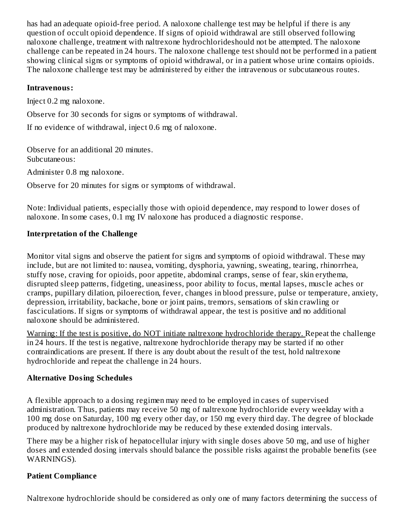has had an adequate opioid-free period. A naloxone challenge test may be helpful if there is any question of occult opioid dependence. If signs of opioid withdrawal are still observed following naloxone challenge, treatment with naltrexone hydrochlorideshould not be attempted. The naloxone challenge can be repeated in 24 hours. The naloxone challenge test should not be performed in a patient showing clinical signs or symptoms of opioid withdrawal, or in a patient whose urine contains opioids. The naloxone challenge test may be administered by either the intravenous or subcutaneous routes.

#### **Intravenous:**

Inject 0.2 mg naloxone.

Observe for 30 seconds for signs or symptoms of withdrawal.

If no evidence of withdrawal, inject 0.6 mg of naloxone.

Observe for an additional 20 minutes. Subcutaneous:

Administer 0.8 mg naloxone.

Observe for 20 minutes for signs or symptoms of withdrawal.

Note: Individual patients, especially those with opioid dependence, may respond to lower doses of naloxone. In some cases, 0.1 mg IV naloxone has produced a diagnostic response.

### **Interpretation of the Challenge**

Monitor vital signs and observe the patient for signs and symptoms of opioid withdrawal. These may include, but are not limited to: nausea, vomiting, dysphoria, yawning, sweating, tearing, rhinorrhea, stuffy nose, craving for opioids, poor appetite, abdominal cramps, sense of fear, skin erythema, disrupted sleep patterns, fidgeting, uneasiness, poor ability to focus, mental lapses, muscle aches or cramps, pupillary dilation, piloerection, fever, changes in blood pressure, pulse or temperature, anxiety, depression, irritability, backache, bone or joint pains, tremors, sensations of skin crawling or fasciculations. If signs or symptoms of withdrawal appear, the test is positive and no additional naloxone should be administered.

Warning: If the test is positive, do NOT initiate naltrexone hydrochloride therapy. Repeat the challenge in 24 hours. If the test is negative, naltrexone hydrochloride therapy may be started if no other contraindications are present. If there is any doubt about the result of the test, hold naltrexone hydrochloride and repeat the challenge in 24 hours.

## **Alternative Dosing Schedules**

A flexible approach to a dosing regimen may need to be employed in cases of supervised administration. Thus, patients may receive 50 mg of naltrexone hydrochloride every weekday with a 100 mg dose on Saturday, 100 mg every other day, or 150 mg every third day. The degree of blockade produced by naltrexone hydrochloride may be reduced by these extended dosing intervals.

There may be a higher risk of hepatocellular injury with single doses above 50 mg, and use of higher doses and extended dosing intervals should balance the possible risks against the probable benefits (see WARNINGS).

## **Patient Compliance**

Naltrexone hydrochloride should be considered as only one of many factors determining the success of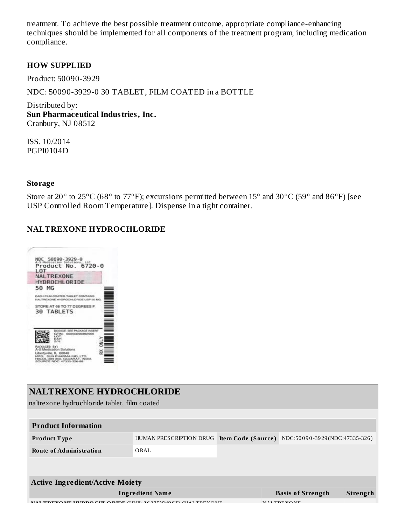treatment. To achieve the best possible treatment outcome, appropriate compliance-enhancing techniques should be implemented for all components of the treatment program, including medication compliance.

#### **HOW SUPPLIED**

Product: 50090-3929

NDC: 50090-3929-0 30 TABLET, FILM COATED in a BOTTLE

Distributed by: **Sun Pharmaceutical Industries, Inc.** Cranbury, NJ 08512

ISS. 10/2014 PGPI0104D

#### **Storage**

Store at 20° to 25°C (68° to 77°F); excursions permitted between 15° and 30°C (59° and 86°F) [see USP Controlled Room Temperature]. Dispense in a tight container.

### **NALTREXONE HYDROCHLORIDE**



| NALTREXONE HYDROCHLORIDE<br>naltrexone hydrochloride tablet, film coated |                         |                                                     |          |  |  |  |  |
|--------------------------------------------------------------------------|-------------------------|-----------------------------------------------------|----------|--|--|--|--|
|                                                                          |                         |                                                     |          |  |  |  |  |
| <b>Product Information</b>                                               |                         |                                                     |          |  |  |  |  |
| <b>Product Type</b>                                                      | HUMAN PRESCRIPTION DRUG | NDC:50090-3929(NDC:47335-326)<br>Item Code (Source) |          |  |  |  |  |
| <b>Route of Administration</b>                                           | ORAL                    |                                                     |          |  |  |  |  |
|                                                                          |                         |                                                     |          |  |  |  |  |
|                                                                          |                         |                                                     |          |  |  |  |  |
| <b>Active Ingredient/Active Moiety</b>                                   |                         |                                                     |          |  |  |  |  |
| <b>Ingredient Name</b>                                                   |                         | <b>Basis of Strength</b>                            | Strength |  |  |  |  |
| 'UL ODIDE (UNIL 7027EVAIOCE) (NAI TREVONE                                |                         | MAI TDEVONE                                         |          |  |  |  |  |